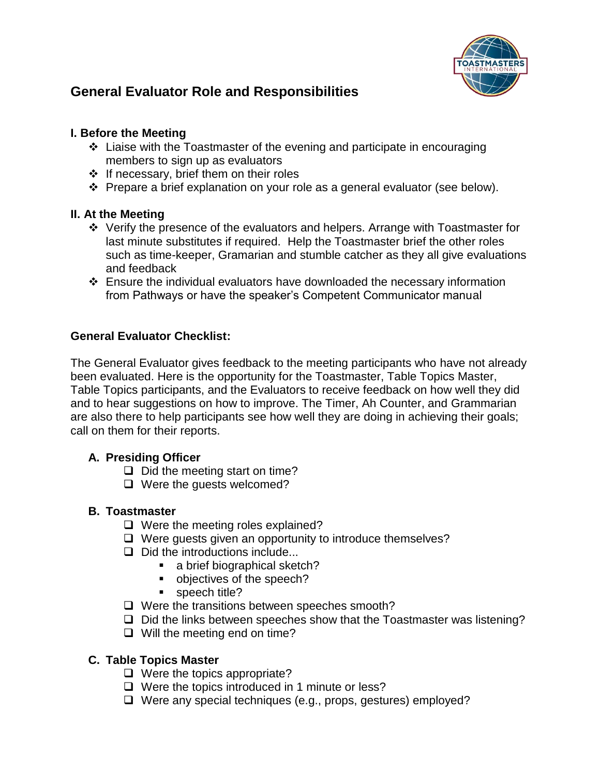

# **General Evaluator Role and Responsibilities**

### **I. Before the Meeting**

- $\cdot$  Liaise with the Toastmaster of the evening and participate in encouraging members to sign up as evaluators
- $\div$  If necessary, brief them on their roles
- $\div$  Prepare a brief explanation on your role as a general evaluator (see below).

### **II. At the Meeting**

- Verify the presence of the evaluators and helpers. Arrange with Toastmaster for last minute substitutes if required. Help the Toastmaster brief the other roles such as time-keeper, Gramarian and stumble catcher as they all give evaluations and feedback
- Ensure the individual evaluators have downloaded the necessary information from Pathways or have the speaker's Competent Communicator manual

### **General Evaluator Checklist:**

The General Evaluator gives feedback to the meeting participants who have not already been evaluated. Here is the opportunity for the Toastmaster, Table Topics Master, Table Topics participants, and the Evaluators to receive feedback on how well they did and to hear suggestions on how to improve. The Timer, Ah Counter, and Grammarian are also there to help participants see how well they are doing in achieving their goals; call on them for their reports.

### **A. Presiding Officer**

- $\Box$  Did the meeting start on time?
- $\Box$  Were the guests welcomed?

#### **B. Toastmaster**

- $\Box$  Were the meeting roles explained?
- $\Box$  Were guests given an opportunity to introduce themselves?
- $\Box$  Did the introductions include...
	- a brief biographical sketch?
	- objectives of the speech?
	- speech title?
- $\Box$  Were the transitions between speeches smooth?
- $\Box$  Did the links between speeches show that the Toastmaster was listening?
- $\Box$  Will the meeting end on time?

### **C. Table Topics Master**

- $\Box$  Were the topics appropriate?
- $\Box$  Were the topics introduced in 1 minute or less?
- $\Box$  Were any special techniques (e.g., props, gestures) employed?